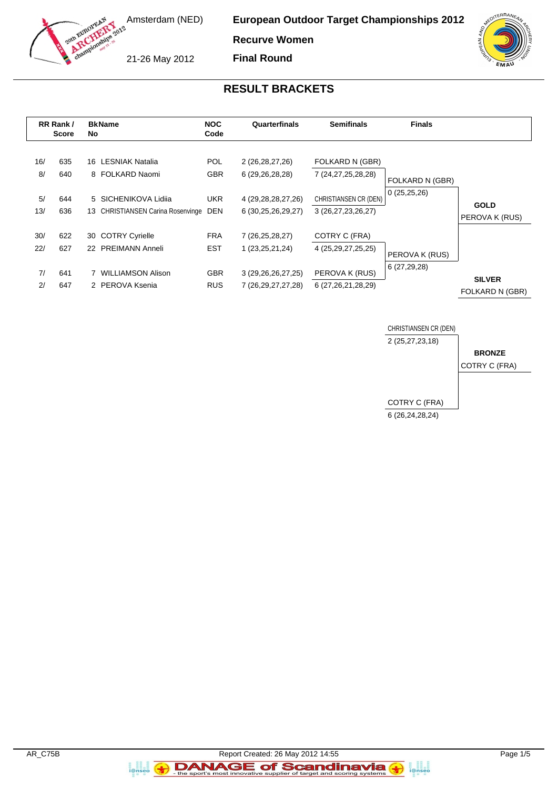

**European Outdoor Target Championships 2012**

**Recurve Women Final Round**

21-26 May 2012



## **RESULT BRACKETS**

| RR Rank /<br><b>Score</b> |            | <b>BkName</b><br><b>NOC</b><br>Quarterfinals<br>No<br>Code          |                          | <b>Semifinals</b>                                | <b>Finals</b>                               |                                |                                  |  |
|---------------------------|------------|---------------------------------------------------------------------|--------------------------|--------------------------------------------------|---------------------------------------------|--------------------------------|----------------------------------|--|
| 16/<br>8/                 | 635<br>640 | 16 LESNIAK Natalia<br>8 FOLKARD Naomi                               | POL.<br><b>GBR</b>       | 2 (26,28,27,26)<br>6 (29,26,28,28)               | FOLKARD N (GBR)<br>7 (24,27,25,28,28)       | FOLKARD N (GBR)                |                                  |  |
| 5/<br>13/                 | 644<br>636 | 5 SICHENIKOVA Lidija<br><b>CHRISTIANSEN Carina Rosenvinge</b><br>13 | <b>UKR</b><br><b>DEN</b> | 4 (29, 28, 28, 27, 26)<br>6 (30,25,26,29,27)     | CHRISTIANSEN CR (DEN)<br>3 (26,27,23,26,27) | 0(25,25,26)                    | <b>GOLD</b><br>PEROVA K (RUS)    |  |
| 30/<br>22/                | 622<br>627 | <b>COTRY Cyrielle</b><br>30<br>22 PREIMANN Anneli                   | <b>FRA</b><br><b>EST</b> | 7 (26,25,28,27)<br>1 (23, 25, 21, 24)            | COTRY C (FRA)<br>4 (25, 29, 27, 25, 25)     |                                |                                  |  |
| 7/<br>2 <sup>1</sup>      | 641<br>647 | <b>WILLIAMSON Alison</b><br>2 PEROVA Ksenia                         | <b>GBR</b><br><b>RUS</b> | 3 (29, 26, 26, 27, 25)<br>7 (26, 29, 27, 27, 28) | PEROVA K (RUS)<br>6 (27,26,21,28,29)        | PEROVA K (RUS)<br>6 (27,29,28) | <b>SILVER</b><br>FOLKARD N (GBR) |  |



a an<br>i@nseo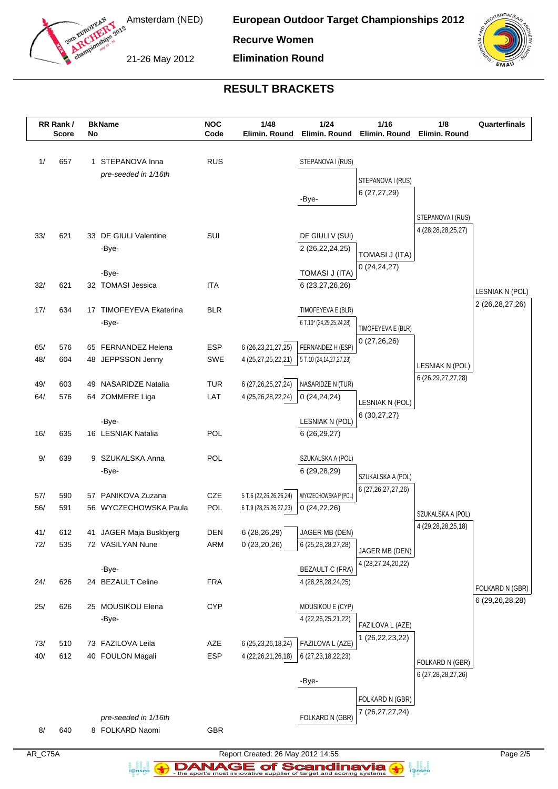

**European Outdoor Target Championships 2012**

**Recurve Women**

21-26 May 2012

**Elimination Round**



# **RESULT BRACKETS**

|            | RR Rank /<br><b>Score</b> | No | <b>BkName</b>                            | <b>NOC</b><br>Code | 1/48<br>Elimin, Round                            | 1/24<br>Elimin. Round                      | 1/16<br>Elimin, Round                | 1/8<br>Elimin. Round   | Quarterfinals      |
|------------|---------------------------|----|------------------------------------------|--------------------|--------------------------------------------------|--------------------------------------------|--------------------------------------|------------------------|--------------------|
| 1/         | 657                       |    | 1 STEPANOVA Inna                         | <b>RUS</b>         |                                                  | STEPANOVA I (RUS)                          |                                      |                        |                    |
|            |                           |    | pre-seeded in 1/16th                     |                    |                                                  |                                            | STEPANOVA I (RUS)                    |                        |                    |
|            |                           |    |                                          |                    |                                                  | -Bye-                                      | 6(27, 27, 29)                        |                        |                    |
|            |                           |    |                                          |                    |                                                  |                                            |                                      |                        |                    |
|            |                           |    |                                          |                    |                                                  |                                            |                                      | STEPANOVA I (RUS)      |                    |
| 33/        | 621                       |    | 33 DE GIULI Valentine                    | SUI                |                                                  | DE GIULI V (SUI)                           |                                      | 4 (28,28,28,25,27)     |                    |
|            |                           |    | -Bye-                                    |                    |                                                  | 2 (26, 22, 24, 25)                         | <b>TOMASI J (ITA)</b>                |                        |                    |
|            |                           |    |                                          |                    |                                                  |                                            | 0(24, 24, 27)                        |                        |                    |
|            |                           |    | -Bye-                                    |                    |                                                  | TOMASI J (ITA)                             |                                      |                        |                    |
| 32/        | 621                       |    | 32 TOMASI Jessica                        | <b>ITA</b>         |                                                  | 6 (23,27,26,26)                            |                                      |                        | LESNIAK N (POL)    |
| 17/        | 634                       | 17 | TIMOFEYEVA Ekaterina                     | <b>BLR</b>         |                                                  | TIMOFEYEVA E (BLR)                         |                                      |                        | 2 (26, 28, 27, 26) |
|            |                           |    | -Bye-                                    |                    |                                                  | 6 T.10* (24,29,25,24,28)                   |                                      |                        |                    |
|            |                           |    |                                          |                    |                                                  |                                            | TIMOFEYEVA E (BLR)                   |                        |                    |
| 65/        | 576                       |    | 65 FERNANDEZ Helena                      | <b>ESP</b>         | 6 (26, 23, 21, 27, 25)                           | FERNANDEZ H (ESP)                          | 0(27,26,26)                          |                        |                    |
| 48/        | 604                       |    | 48 JEPPSSON Jenny                        | SWE                | 4 (25,27,25,22,21)                               | 5 T.10 (24,14,27,27,23)                    |                                      | LESNIAK N (POL)        |                    |
|            |                           |    |                                          |                    |                                                  |                                            |                                      | 6 (26, 29, 27, 27, 28) |                    |
| 49/        | 603                       | 49 | <b>NASARIDZE Natalia</b>                 | <b>TUR</b>         | 6 (27, 26, 25, 27, 24)                           | NASARIDZE N (TUR)                          |                                      |                        |                    |
| 64/        | 576                       |    | 64 ZOMMERE Liga                          | LAT                | 4 (25,26,28,22,24)                               | 0(24,24,24)                                | LESNIAK N (POL)                      |                        |                    |
|            |                           |    | -Bye-                                    |                    |                                                  | LESNIAK N (POL)                            | 6(30,27,27)                          |                        |                    |
| 16/        | 635                       |    | 16 LESNIAK Natalia                       | <b>POL</b>         |                                                  | 6(26, 29, 27)                              |                                      |                        |                    |
|            |                           |    |                                          |                    |                                                  |                                            |                                      |                        |                    |
| 9/         | 639                       |    | 9 SZUKALSKA Anna                         | POL                |                                                  | SZUKALSKA A (POL)                          |                                      |                        |                    |
|            |                           |    | -Bye-                                    |                    |                                                  | 6 (29,28,29)                               | SZUKALSKA A (POL)                    |                        |                    |
|            |                           |    |                                          |                    |                                                  |                                            | 6 (27, 26, 27, 27, 26)               |                        |                    |
| 57/<br>56/ | 590<br>591                | 57 | PANIKOVA Zuzana<br>56 WYCZECHOWSKA Paula | CZE<br>POL         | 5 T.6 (22,26,26,26,24)<br>6 T.9 (28,25,26,27,23) | WYCZECHOWSKA P (POL)<br>0(24,22,26)        |                                      |                        |                    |
|            |                           |    |                                          |                    |                                                  |                                            |                                      | SZUKALSKA A (POL)      |                    |
| 41/        | 612                       |    | 41 JAGER Maja Buskbjerg                  | <b>DEN</b>         | 6 (28,26,29)                                     | JAGER MB (DEN)                             |                                      | 4 (29, 28, 28, 25, 18) |                    |
| 72/        | 535                       |    | 72 VASILYAN Nune                         | ARM                | 0(23,20,26)                                      | 6 (25,28,28,27,28)                         |                                      |                        |                    |
|            |                           |    |                                          |                    |                                                  |                                            | JAGER MB (DEN)<br>4 (28,27,24,20,22) |                        |                    |
|            |                           |    | -Bye-                                    |                    |                                                  | <b>BEZAULT C (FRA)</b>                     |                                      |                        |                    |
| 24/        | 626                       |    | 24 BEZAULT Celine                        | <b>FRA</b>         |                                                  | 4 (28,28,28,24,25)                         |                                      |                        | FOLKARD N (GBR)    |
|            |                           |    |                                          |                    |                                                  |                                            |                                      |                        | 6 (29,26,28,28)    |
| $25/$      | 626                       |    | 25 MOUSIKOU Elena<br>-Bye-               | <b>CYP</b>         |                                                  | MOUSIKOU E (CYP)<br>4 (22, 26, 25, 21, 22) |                                      |                        |                    |
|            |                           |    |                                          |                    |                                                  |                                            | FAZILOVA L (AZE)                     |                        |                    |
| 73/        | 510                       |    | 73 FAZILOVA Leila                        | AZE                | 6 (25,23,26,18,24)                               | FAZILOVA L (AZE)                           | 1 (26, 22, 23, 22)                   |                        |                    |
| 40/        | 612                       |    | 40 FOULON Magali                         | <b>ESP</b>         | 4 (22, 26, 21, 26, 18)                           | 6 (27, 23, 18, 22, 23)                     |                                      |                        |                    |
|            |                           |    |                                          |                    |                                                  |                                            |                                      | FOLKARD N (GBR)        |                    |
|            |                           |    |                                          |                    |                                                  | -Bye-                                      |                                      | 6 (27, 28, 28, 27, 26) |                    |
|            |                           |    |                                          |                    |                                                  |                                            | FOLKARD N (GBR)                      |                        |                    |
|            |                           |    |                                          |                    |                                                  |                                            | 7 (26, 27, 27, 24)                   |                        |                    |
| $8/$       | 640                       |    | pre-seeded in 1/16th<br>8 FOLKARD Naomi  | GBR                |                                                  | FOLKARD N (GBR)                            |                                      |                        |                    |
|            |                           |    |                                          |                    |                                                  |                                            |                                      |                        |                    |

AR\_C75A Report Created: 26 May 2012 14:55 Page 2/5 **DANAGE of Scandinavia** 

a analis<br>i@nseo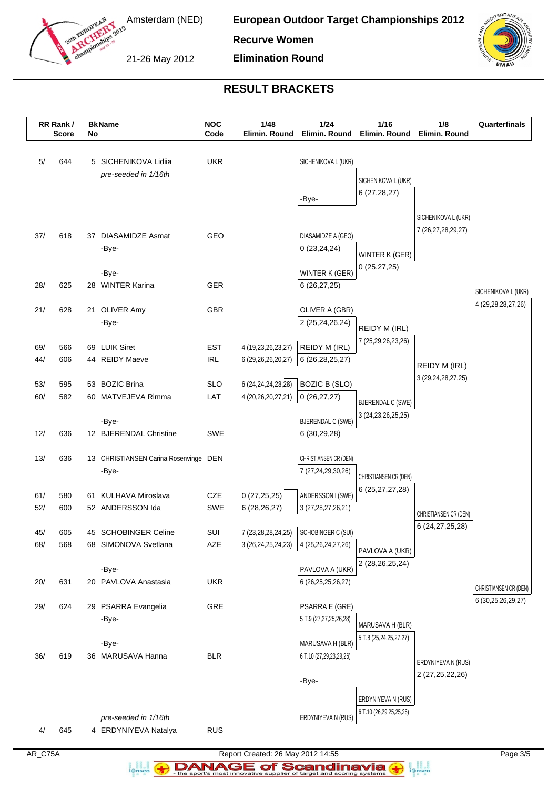

**European Outdoor Target Championships 2012**

**Recurve Women**

21-26 May 2012

**Elimination Round**



## **RESULT BRACKETS**

|     | RR Rank /<br><b>Score</b> | No | <b>BkName</b>                         | <b>NOC</b><br>Code | 1/48<br>Elimin. Round  | 1/24<br>Elimin. Round    | 1/16<br>Elimin. Round    | 1/8<br>Elimin. Round  | Quarterfinals          |
|-----|---------------------------|----|---------------------------------------|--------------------|------------------------|--------------------------|--------------------------|-----------------------|------------------------|
|     |                           |    |                                       |                    |                        |                          |                          |                       |                        |
| 5/  | 644                       |    | 5 SICHENIKOVA Lidiia                  | <b>UKR</b>         |                        | SICHENIKOVA L (UKR)      |                          |                       |                        |
|     |                           |    | pre-seeded in 1/16th                  |                    |                        |                          | SICHENIKOVA L (UKR)      |                       |                        |
|     |                           |    |                                       |                    |                        |                          | 6(27, 28, 27)            |                       |                        |
|     |                           |    |                                       |                    |                        | -Bye-                    |                          |                       |                        |
|     |                           |    |                                       |                    |                        |                          |                          | SICHENIKOVA L (UKR)   |                        |
| 37/ | 618                       |    | 37 DIASAMIDZE Asmat                   | GEO                |                        | DIASAMIDZE A (GEO)       |                          | 7 (26,27,28,29,27)    |                        |
|     |                           |    | -Bye-                                 |                    |                        | 0(23, 24, 24)            | WINTER K (GER)           |                       |                        |
|     |                           |    |                                       |                    |                        |                          | 0(25, 27, 25)            |                       |                        |
|     |                           |    | -Bye-                                 |                    |                        | WINTER K (GER)           |                          |                       |                        |
| 28/ | 625                       |    | 28 WINTER Karina                      | <b>GER</b>         |                        | 6(26, 27, 25)            |                          |                       | SICHENIKOVA L (UKR)    |
| 21/ | 628                       |    | 21 OLIVER Amy                         | GBR                |                        | OLIVER A (GBR)           |                          |                       | 4 (29, 28, 28, 27, 26) |
|     |                           |    | -Bye-                                 |                    |                        | 2 (25,24,26,24)          |                          |                       |                        |
|     |                           |    |                                       |                    |                        |                          | REIDY M (IRL)            |                       |                        |
| 69/ | 566                       |    | 69 LUIK Siret                         | <b>EST</b>         | 4 (19,23,26,23,27)     | REIDY M (IRL)            | 7 (25,29,26,23,26)       |                       |                        |
| 44/ | 606                       |    | 44 REIDY Maeve                        | <b>IRL</b>         | 6 (29,26,26,20,27)     | 6 (26, 28, 25, 27)       |                          | REIDY M (IRL)         |                        |
|     |                           |    |                                       |                    |                        |                          |                          | 3 (29,24,28,27,25)    |                        |
| 53/ | 595                       |    | 53 BOZIC Brina                        | <b>SLO</b>         | 6 (24, 24, 24, 23, 28) | <b>BOZIC B (SLO)</b>     |                          |                       |                        |
| 60/ | 582                       |    | 60 MATVEJEVA Rimma                    | LAT                | 4 (20,26,20,27,21)     | 0(26, 27, 27)            | <b>BJERENDAL C (SWE)</b> |                       |                        |
|     |                           |    | -Bye-                                 |                    |                        | <b>BJERENDAL C (SWE)</b> | 3 (24, 23, 26, 25, 25)   |                       |                        |
| 12/ | 636                       |    | 12 BJERENDAL Christine                | <b>SWE</b>         |                        | 6(30,29,28)              |                          |                       |                        |
|     |                           |    |                                       |                    |                        |                          |                          |                       |                        |
| 13/ | 636                       |    | 13 CHRISTIANSEN Carina Rosenvinge DEN |                    |                        | CHRISTIANSEN CR (DEN)    |                          |                       |                        |
|     |                           |    | -Bye-                                 |                    |                        | 7 (27,24,29,30,26)       | CHRISTIANSEN CR (DEN)    |                       |                        |
| 61/ | 580                       |    | 61 KULHAVA Miroslava                  | CZE                | 0(27, 25, 25)          | ANDERSSON I (SWE)        | 6 (25, 27, 27, 28)       |                       |                        |
| 52/ | 600                       |    | 52 ANDERSSON Ida                      | <b>SWE</b>         | 6(28, 26, 27)          | 3 (27, 28, 27, 26, 21)   |                          |                       |                        |
|     |                           |    |                                       |                    |                        |                          |                          | CHRISTIANSEN CR (DEN) |                        |
| 45/ | 605                       |    | 45 SCHOBINGER Celine                  | SUI                | 7 (23,28,28,24,25)     | SCHOBINGER C (SUI)       |                          | 6 (24, 27, 25, 28)    |                        |
| 68/ | 568                       |    | 68 SIMONOVA Svetlana                  | AZE                | 3 (26, 24, 25, 24, 23) | 4 (25,26,24,27,26)       | PAVLOVA A (UKR)          |                       |                        |
|     |                           |    |                                       |                    |                        |                          | 2 (28, 26, 25, 24)       |                       |                        |
|     |                           |    | -Bye-                                 |                    |                        | PAVLOVA A (UKR)          |                          |                       |                        |
| 20/ | 631                       |    | 20 PAVLOVA Anastasia                  | <b>UKR</b>         |                        | 6 (26, 25, 25, 26, 27)   |                          |                       | CHRISTIANSEN CR (DEN)  |
| 29/ | 624                       |    | 29 PSARRA Evangelia                   | GRE                |                        | PSARRA E (GRE)           |                          |                       | 6 (30,25,26,29,27)     |
|     |                           |    | -Bye-                                 |                    |                        | 5 T.9 (27,27,25,26,28)   |                          |                       |                        |
|     |                           |    |                                       |                    |                        |                          | MARUSAVA H (BLR)         |                       |                        |
|     |                           |    | -Bye-                                 |                    |                        | MARUSAVA H (BLR)         | 5 T.8 (25,24,25,27,27)   |                       |                        |
| 36/ | 619                       |    | 36 MARUSAVA Hanna                     | <b>BLR</b>         |                        | 6 T.10 (27,29,23,29,26)  |                          | ERDYNIYEVA N (RUS)    |                        |
|     |                           |    |                                       |                    |                        |                          |                          | 2 (27,25,22,26)       |                        |
|     |                           |    |                                       |                    |                        | -Bye-                    |                          |                       |                        |
|     |                           |    |                                       |                    |                        |                          | ERDYNIYEVA N (RUS)       |                       |                        |
|     |                           |    | pre-seeded in 1/16th                  |                    |                        | ERDYNIYEVA N (RUS)       | 6 T.10 (26,29,25,25,26)  |                       |                        |
| 4/  | 645                       |    | 4 ERDYNIYEVA Natalya                  | <b>RUS</b>         |                        |                          |                          |                       |                        |

a analis<br>i@nseo

AR\_C75A Report Created: 26 May 2012 14:55 Page 3/5 **DANAGE of Scandinavia**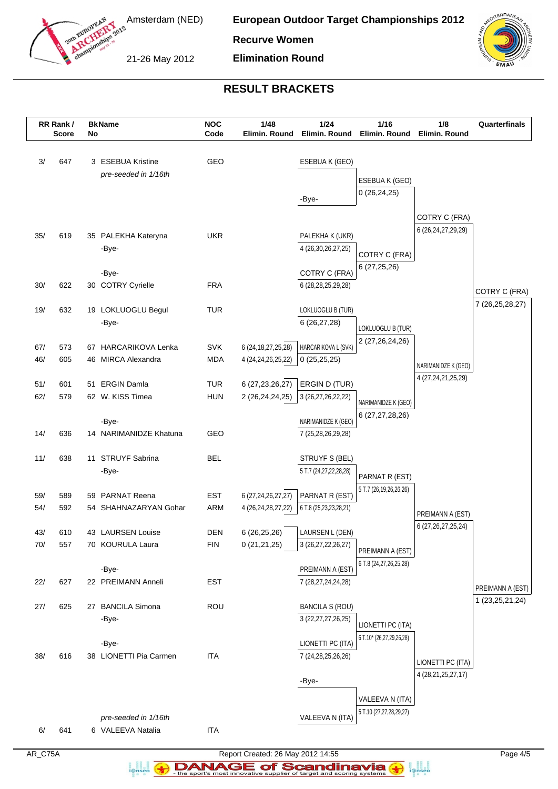

**European Outdoor Target Championships 2012**

**Recurve Women**

21-26 May 2012

**Elimination Round**



## **RESULT BRACKETS**

|     | RR Rank /    |    | <b>BkName</b>                             | <b>NOC</b> | 1/48                   | 1/24                                     | 1/16                                 | 1/8                    | Quarterfinals                          |
|-----|--------------|----|-------------------------------------------|------------|------------------------|------------------------------------------|--------------------------------------|------------------------|----------------------------------------|
|     | <b>Score</b> | No |                                           | Code       | Elimin. Round          | Elimin. Round                            | Elimin. Round                        | Elimin. Round          |                                        |
| 3/  | 647          |    | 3 ESEBUA Kristine                         | GEO        |                        | ESEBUA K (GEO)                           |                                      |                        |                                        |
|     |              |    | pre-seeded in 1/16th                      |            |                        |                                          | ESEBUA K (GEO)                       |                        |                                        |
|     |              |    |                                           |            |                        |                                          | 0(26, 24, 25)                        |                        |                                        |
|     |              |    |                                           |            |                        | -Bye-                                    |                                      |                        |                                        |
|     |              |    |                                           |            |                        |                                          |                                      | COTRY C (FRA)          |                                        |
| 35/ | 619          |    | 35 PALEKHA Kateryna                       | <b>UKR</b> |                        | PALEKHA K (UKR)                          |                                      | 6 (26, 24, 27, 29, 29) |                                        |
|     |              |    | -Bye-                                     |            |                        | 4 (26,30,26,27,25)                       | COTRY C (FRA)                        |                        |                                        |
|     |              |    |                                           |            |                        |                                          | 6(27, 25, 26)                        |                        |                                        |
|     | 622          |    | -Bye-                                     | <b>FRA</b> |                        | COTRY C (FRA)                            |                                      |                        |                                        |
| 30/ |              |    | 30 COTRY Cyrielle                         |            |                        | 6 (28,28,25,29,28)                       |                                      |                        | COTRY C (FRA)                          |
| 19/ | 632          |    | 19 LOKLUOGLU Begul                        | <b>TUR</b> |                        | LOKLUOGLU B (TUR)                        |                                      |                        | 7 (26, 25, 28, 27)                     |
|     |              |    | -Bye-                                     |            |                        | 6 (26,27,28)                             |                                      |                        |                                        |
|     |              |    |                                           |            |                        |                                          | LOKLUOGLU B (TUR)<br>2 (27,26,24,26) |                        |                                        |
| 67/ | 573          |    | 67 HARCARIKOVA Lenka                      | <b>SVK</b> | 6 (24, 18, 27, 25, 28) | HARCARIKOVA L (SVK)                      |                                      |                        |                                        |
| 46/ | 605          |    | 46 MIRCA Alexandra                        | <b>MDA</b> | 4 (24, 24, 26, 25, 22) | 0(25,25,25)                              |                                      | NARIMANIDZE K (GEO)    |                                        |
| 51/ | 601          |    | 51 ERGIN Damla                            | <b>TUR</b> | 6 (27, 23, 26, 27)     | ERGIN D (TUR)                            |                                      | 4 (27,24,21,25,29)     |                                        |
| 62/ | 579          |    | 62 W. KISS Timea                          | <b>HUN</b> | 2 (26,24,24,25)        | 3 (26,27,26,22,22)                       |                                      |                        |                                        |
|     |              |    |                                           |            |                        |                                          | NARIMANIDZE K (GEO)                  |                        |                                        |
|     |              |    | -Bye-                                     |            |                        | NARIMANIDZE K (GEO)                      | 6 (27,27,28,26)                      |                        |                                        |
| 14/ | 636          |    | 14 NARIMANIDZE Khatuna                    | GEO        |                        | 7 (25,28,26,29,28)                       |                                      |                        |                                        |
|     |              |    |                                           |            |                        |                                          |                                      |                        |                                        |
| 11/ | 638          |    | 11 STRUYF Sabrina<br>-Bye-                | <b>BEL</b> |                        | STRUYF S (BEL)<br>5 T.7 (24,27,22,28,28) |                                      |                        |                                        |
|     |              |    |                                           |            |                        |                                          | PARNAT R (EST)                       |                        |                                        |
| 59/ | 589          | 59 | <b>PARNAT Reena</b>                       | <b>EST</b> | 6 (27, 24, 26, 27, 27) | PARNAT R (EST)                           | 5 T.7 (26, 19, 26, 26, 26)           |                        |                                        |
| 54/ | 592          |    | 54 SHAHNAZARYAN Gohar                     | ARM        | 4 (26,24,28,27,22)     | 6 T.8 (25, 23, 23, 28, 21)               |                                      | PREIMANN A (EST)       |                                        |
|     |              |    |                                           |            |                        |                                          |                                      | 6 (27, 26, 27, 25, 24) |                                        |
| 43/ | 610          |    | 43 LAURSEN Louise                         | DEN        | 6 (26,25,26)           | LAURSEN L (DEN)                          |                                      |                        |                                        |
| 70/ | 557          |    | 70 KOURULA Laura                          | <b>FIN</b> | 0(21,21,25)            | 3 (26,27,22,26,27)                       | PREIMANN A (EST)                     |                        |                                        |
|     |              |    | -Bye-                                     |            |                        | PREIMANN A (EST)                         | 6 T.8 (24,27,26,25,28)               |                        |                                        |
| 22/ | 627          |    | 22 PREIMANN Anneli                        | <b>EST</b> |                        | 7 (28,27,24,24,28)                       |                                      |                        |                                        |
|     |              |    |                                           |            |                        |                                          |                                      |                        | PREIMANN A (EST)<br>1 (23, 25, 21, 24) |
| 27/ | 625          |    | 27 BANCILA Simona                         | ROU        |                        | <b>BANCILA S (ROU)</b>                   |                                      |                        |                                        |
|     |              |    | -Bye-                                     |            |                        | 3 (22, 27, 27, 26, 25)                   | LIONETTI PC (ITA)                    |                        |                                        |
|     |              |    | -Bye-                                     |            |                        | LIONETTI PC (ITA)                        | 6 T.10* (26,27,29,26,28)             |                        |                                        |
| 38/ | 616          |    | 38 LIONETTI Pia Carmen                    | <b>ITA</b> |                        | 7 (24, 28, 25, 26, 26)                   |                                      |                        |                                        |
|     |              |    |                                           |            |                        |                                          |                                      | LIONETTI PC (ITA)      |                                        |
|     |              |    |                                           |            |                        | -Bye-                                    |                                      | 4 (28, 21, 25, 27, 17) |                                        |
|     |              |    |                                           |            |                        |                                          | VALEEVA N (ITA)                      |                        |                                        |
|     |              |    |                                           |            |                        |                                          | 5 T.10 (27,27,28,29,27)              |                        |                                        |
| 6/  | 641          |    | pre-seeded in 1/16th<br>6 VALEEVA Natalia | <b>ITA</b> |                        | VALEEVA N (ITA)                          |                                      |                        |                                        |
|     |              |    |                                           |            |                        |                                          |                                      |                        |                                        |

a analis<br>i@nseo